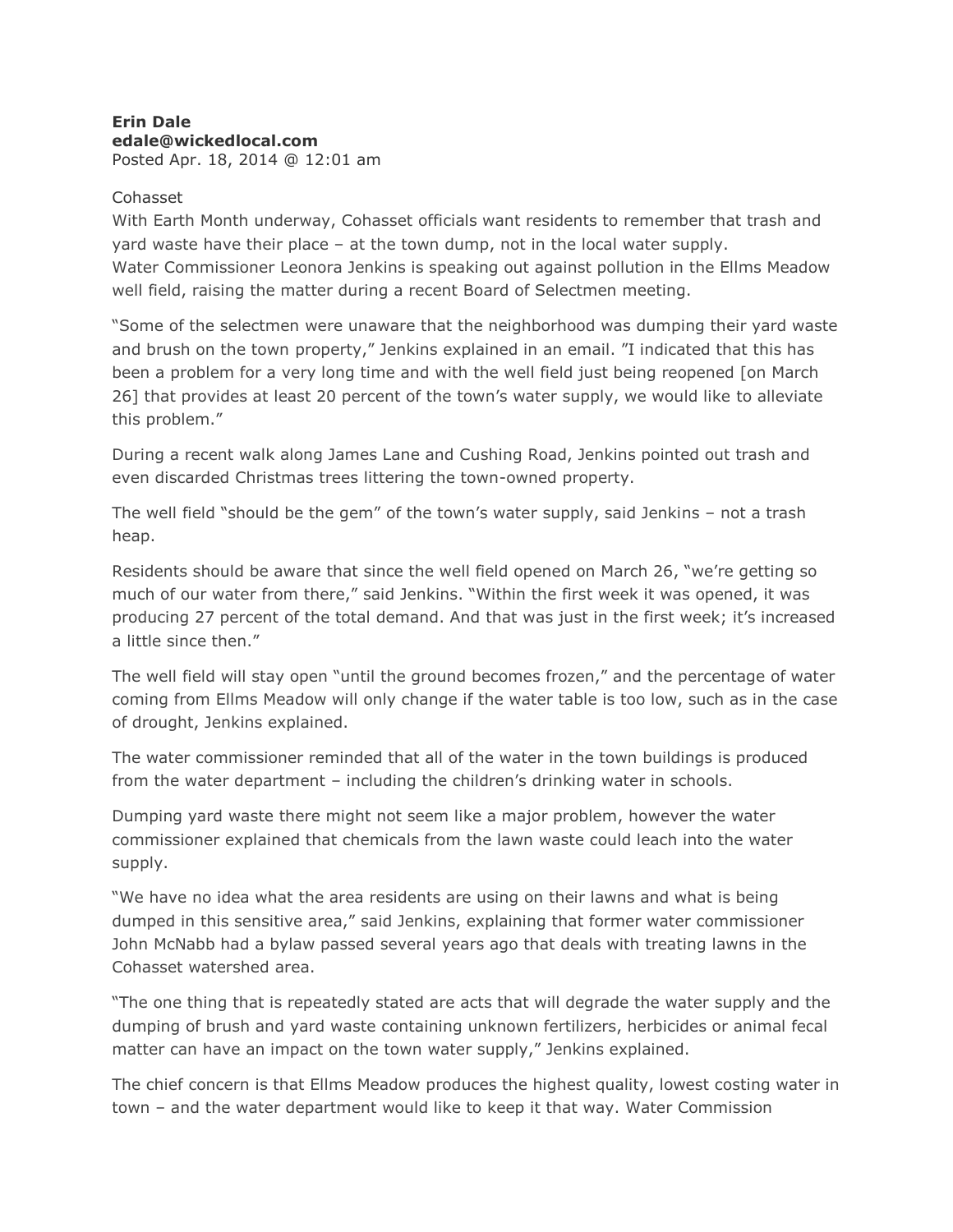## **Erin Dale edale@wickedlocal.com** Posted Apr. 18, 2014 @ 12:01 am

## Cohasset

With Earth Month underway, Cohasset officials want residents to remember that trash and yard waste have their place – at the town dump, not in the local water supply. Water Commissioner Leonora Jenkins is speaking out against pollution in the Ellms Meadow well field, raising the matter during a recent Board of Selectmen meeting.

"Some of the selectmen were unaware that the neighborhood was dumping their yard waste and brush on the town property," Jenkins explained in an email. "I indicated that this has been a problem for a very long time and with the well field just being reopened [on March 26] that provides at least 20 percent of the town's water supply, we would like to alleviate this problem."

During a recent walk along James Lane and Cushing Road, Jenkins pointed out trash and even discarded Christmas trees littering the town-owned property.

The well field "should be the gem" of the town's water supply, said Jenkins – not a trash heap.

Residents should be aware that since the well field opened on March 26, "we're getting so much of our water from there," said Jenkins. "Within the first week it was opened, it was producing 27 percent of the total demand. And that was just in the first week; it's increased a little since then."

The well field will stay open "until the ground becomes frozen," and the percentage of water coming from Ellms Meadow will only change if the water table is too low, such as in the case of drought, Jenkins explained.

The water commissioner reminded that all of the water in the town buildings is produced from the water department – including the children's drinking water in schools.

Dumping yard waste there might not seem like a major problem, however the water commissioner explained that chemicals from the lawn waste could leach into the water supply.

"We have no idea what the area residents are using on their lawns and what is being dumped in this sensitive area," said Jenkins, explaining that former water commissioner John McNabb had a bylaw passed several years ago that deals with treating lawns in the Cohasset watershed area.

"The one thing that is repeatedly stated are acts that will degrade the water supply and the dumping of brush and yard waste containing unknown fertilizers, herbicides or animal fecal matter can have an impact on the town water supply," Jenkins explained.

The chief concern is that Ellms Meadow produces the highest quality, lowest costing water in town – and the water department would like to keep it that way. Water Commission